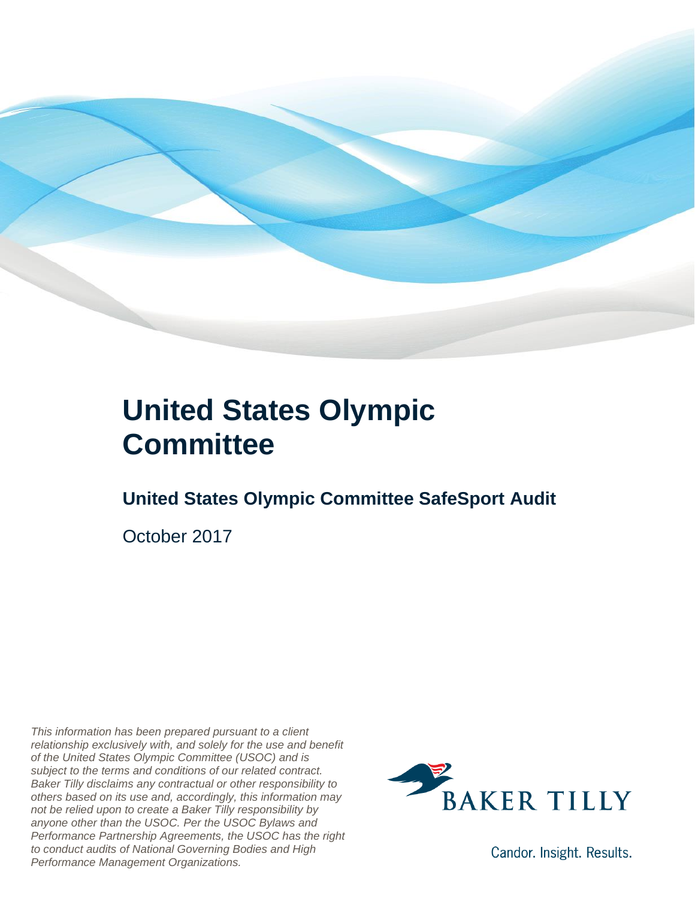

### **United States Olympic Committee**

### **United States Olympic Committee SafeSport Audit**

October 2017

*This information has been prepared pursuant to a client relationship exclusively with, and solely for the use and benefit of the United States Olympic Committee (USOC) and is subject to the terms and conditions of our related contract. Baker Tilly disclaims any contractual or other responsibility to others based on its use and, accordingly, this information may not be relied upon to create a Baker Tilly responsibility by anyone other than the USOC. Per the USOC Bylaws and Performance Partnership Agreements, the USOC has the right to conduct audits of National Governing Bodies and High Performance Management Organizations.*



Candor. Insight. Results.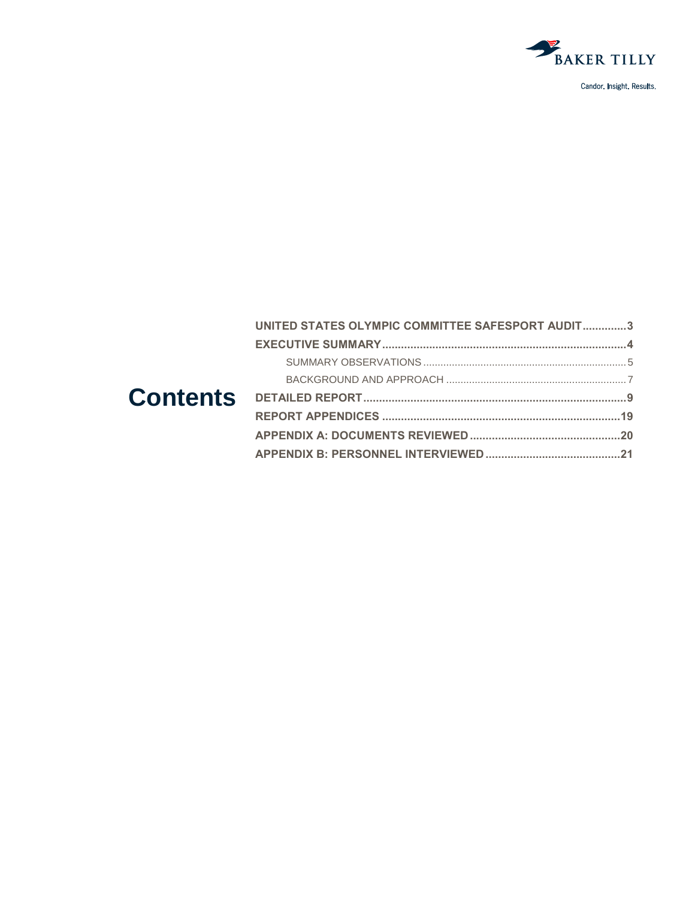

Candor. Insight. Results.

|                 | UNITED STATES OLYMPIC COMMITTEE SAFESPORT AUDIT3 |  |
|-----------------|--------------------------------------------------|--|
|                 |                                                  |  |
|                 |                                                  |  |
|                 |                                                  |  |
| <b>Contents</b> |                                                  |  |
|                 |                                                  |  |
|                 |                                                  |  |
|                 |                                                  |  |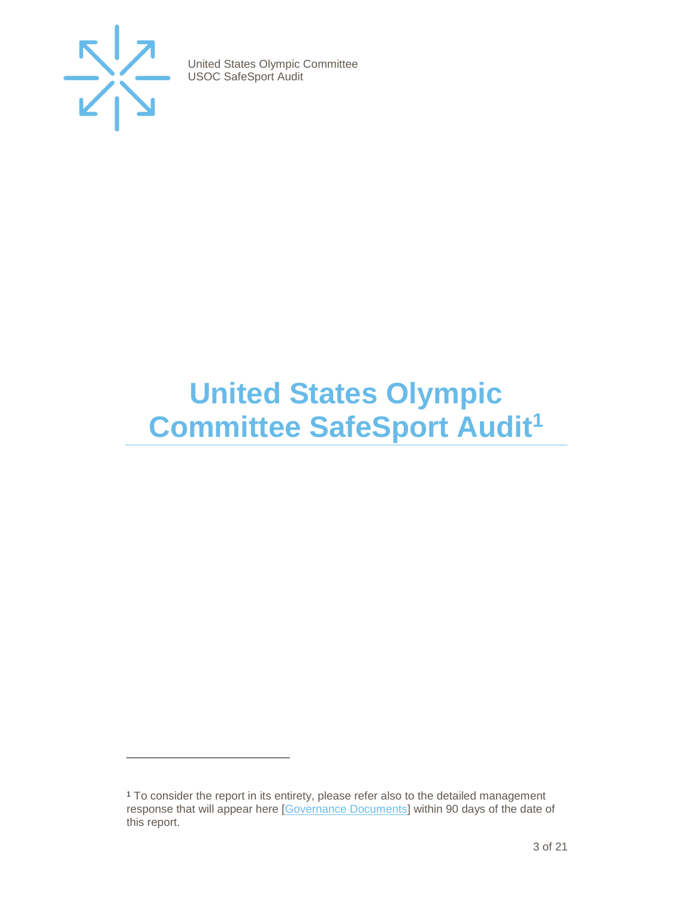

 $\overline{a}$ 

United States Olympic Committee USOC SafeSport Audit

# <span id="page-2-0"></span>**United States Olympic Committee SafeSport Audit<sup>1</sup>**

<sup>1</sup> To consider the report in its entirety, please refer also to the detailed management response that will appear here [\[Governance Documents\]](https://www.teamusa.org/Footer/Legal/Governance-Documents) within 90 days of the date of this report.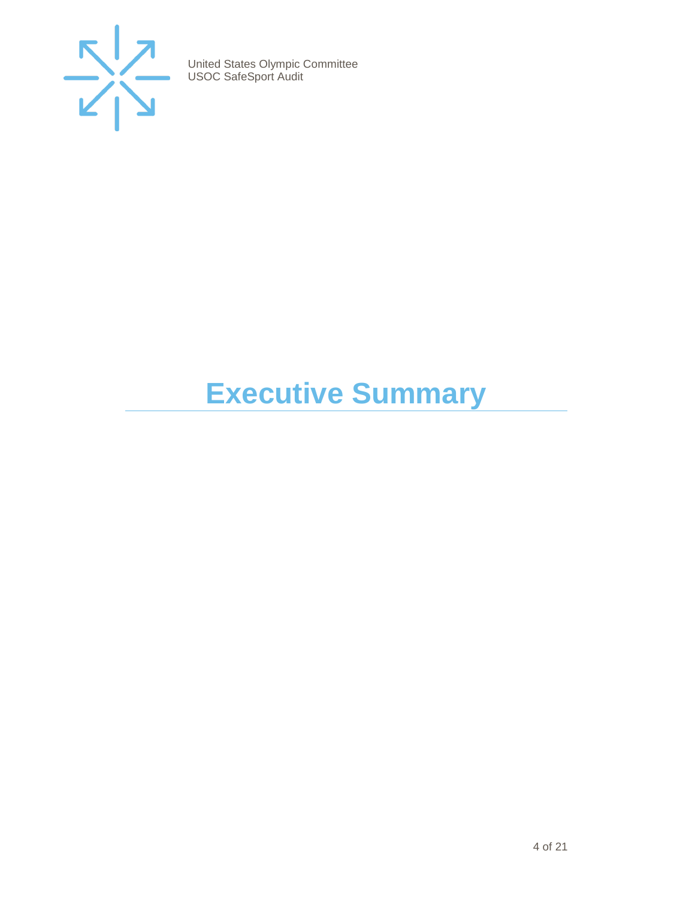<span id="page-3-0"></span>

## **Executive Summary**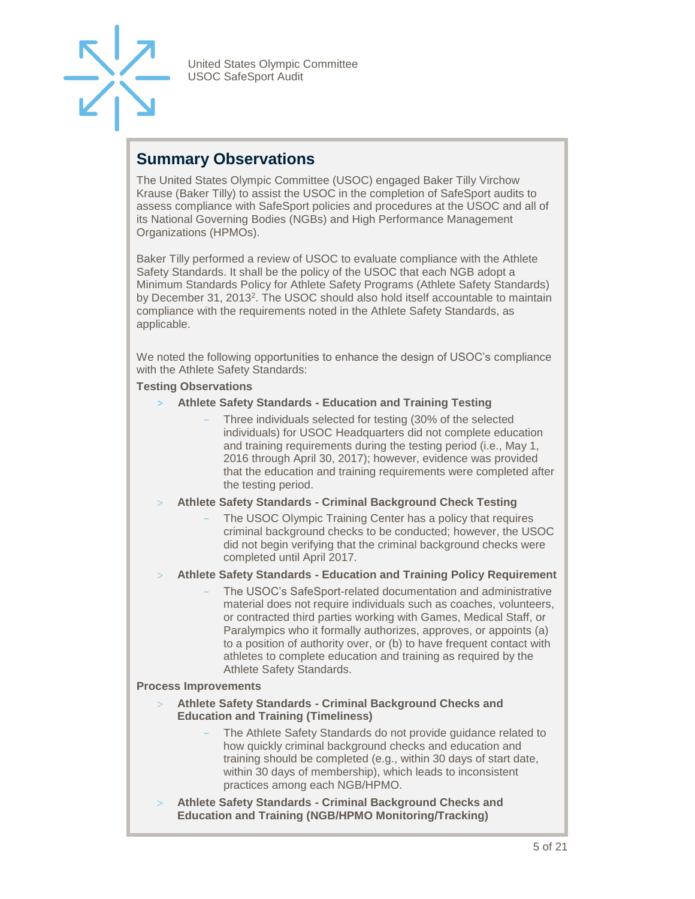

### <span id="page-4-0"></span>**Summary Observations**

The United States Olympic Committee (USOC) engaged Baker Tilly Virchow Krause (Baker Tilly) to assist the USOC in the completion of SafeSport audits to assess compliance with SafeSport policies and procedures at the USOC and all of its National Governing Bodies (NGBs) and High Performance Management Organizations (HPMOs).

Baker Tilly performed a review of USOC to evaluate compliance with the Athlete Safety Standards. It shall be the policy of the USOC that each NGB adopt a Minimum Standards Policy for Athlete Safety Programs (Athlete Safety Standards) by December 31, 2013<sup>2</sup>. The USOC should also hold itself accountable to maintain compliance with the requirements noted in the Athlete Safety Standards, as applicable.

We noted the following opportunities to enhance the design of USOC's compliance with the Athlete Safety Standards:

#### **Testing Observations**

- > **Athlete Safety Standards - Education and Training Testing** 
	- Three individuals selected for testing (30% of the selected individuals) for USOC Headquarters did not complete education and training requirements during the testing period (i.e., May 1, 2016 through April 30, 2017); however, evidence was provided that the education and training requirements were completed after the testing period.

#### **Athlete Safety Standards - Criminal Background Check Testing**

- The USOC Olympic Training Center has a policy that requires criminal background checks to be conducted; however, the USOC did not begin verifying that the criminal background checks were completed until April 2017.
- **Athlete Safety Standards - Education and Training Policy Requirement**
	- The USOC's SafeSport-related documentation and administrative material does not require individuals such as coaches, volunteers, or contracted third parties working with Games, Medical Staff, or Paralympics who it formally authorizes, approves, or appoints (a) to a position of authority over, or (b) to have frequent contact with athletes to complete education and training as required by the Athlete Safety Standards.

#### **Process Improvements**

- **Athlete Safety Standards - Criminal Background Checks and Education and Training (Timeliness)**
	- The Athlete Safety Standards do not provide guidance related to how quickly criminal background checks and education and training should be completed (e.g., within 30 days of start date, within 30 days of membership), which leads to inconsistent practices among each NGB/HPMO.
- **Athlete Safety Standards - Criminal Background Checks and Education and Training (NGB/HPMO Monitoring/Tracking)**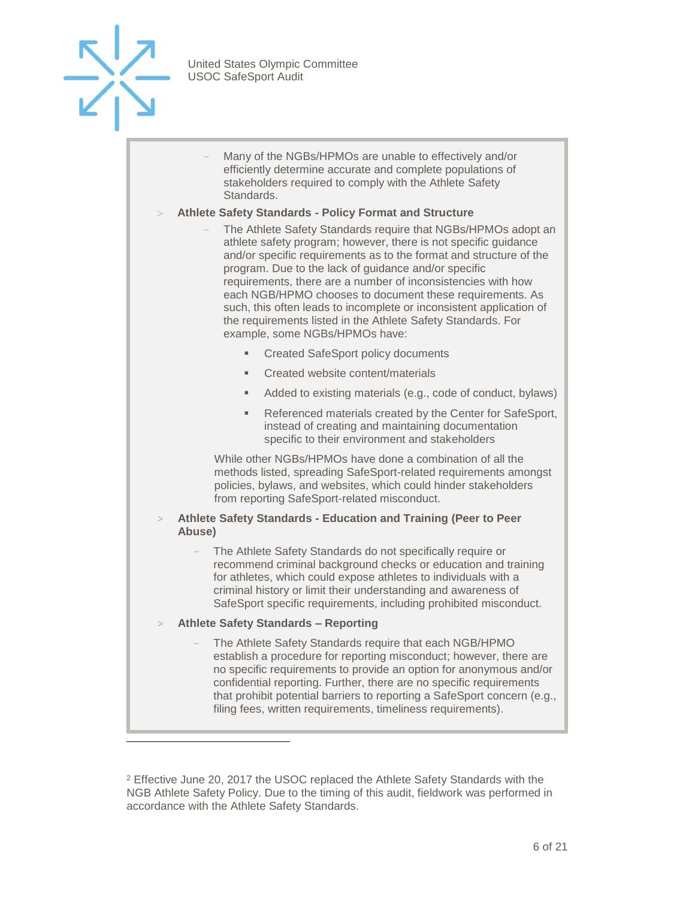

 $\overline{a}$ 

Many of the NGBs/HPMOs are unable to effectively and/or efficiently determine accurate and complete populations of stakeholders required to comply with the Athlete Safety Standards.

#### **Athlete Safety Standards - Policy Format and Structure**

- The Athlete Safety Standards require that NGBs/HPMOs adopt an athlete safety program; however, there is not specific guidance and/or specific requirements as to the format and structure of the program. Due to the lack of guidance and/or specific requirements, there are a number of inconsistencies with how each NGB/HPMO chooses to document these requirements. As such, this often leads to incomplete or inconsistent application of the requirements listed in the Athlete Safety Standards. For example, some NGBs/HPMOs have:
	- **Created SafeSport policy documents**
	- Created website content/materials
	- Added to existing materials (e.g., code of conduct, bylaws)
	- Referenced materials created by the Center for SafeSport, instead of creating and maintaining documentation specific to their environment and stakeholders

While other NGBs/HPMOs have done a combination of all the methods listed, spreading SafeSport-related requirements amongst policies, bylaws, and websites, which could hinder stakeholders from reporting SafeSport-related misconduct.

#### > **Athlete Safety Standards - Education and Training (Peer to Peer Abuse)**

- The Athlete Safety Standards do not specifically require or recommend criminal background checks or education and training for athletes, which could expose athletes to individuals with a criminal history or limit their understanding and awareness of SafeSport specific requirements, including prohibited misconduct.
- > **Athlete Safety Standards – Reporting**
	- The Athlete Safety Standards require that each NGB/HPMO establish a procedure for reporting misconduct; however, there are no specific requirements to provide an option for anonymous and/or confidential reporting. Further, there are no specific requirements that prohibit potential barriers to reporting a SafeSport concern (e.g., filing fees, written requirements, timeliness requirements).

<sup>2</sup> Effective June 20, 2017 the USOC replaced the Athlete Safety Standards with the NGB Athlete Safety Policy. Due to the timing of this audit, fieldwork was performed in accordance with the Athlete Safety Standards.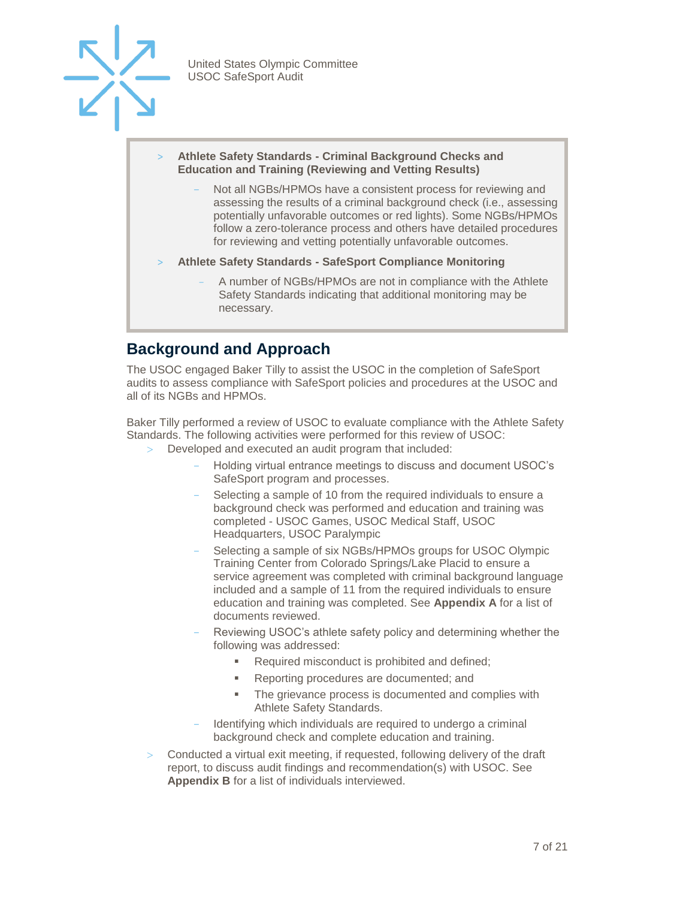

- > **Athlete Safety Standards - Criminal Background Checks and Education and Training (Reviewing and Vetting Results)**
	- Not all NGBs/HPMOs have a consistent process for reviewing and assessing the results of a criminal background check (i.e., assessing potentially unfavorable outcomes or red lights). Some NGBs/HPMOs follow a zero-tolerance process and others have detailed procedures for reviewing and vetting potentially unfavorable outcomes.
- > **Athlete Safety Standards - SafeSport Compliance Monitoring**
	- A number of NGBs/HPMOs are not in compliance with the Athlete Safety Standards indicating that additional monitoring may be necessary.

### <span id="page-6-0"></span>**Background and Approach**

<span id="page-6-1"></span>The USOC engaged Baker Tilly to assist the USOC in the completion of SafeSport audits to assess compliance with SafeSport policies and procedures at the USOC and all of its NGBs and HPMOs.

Baker Tilly performed a review of USOC to evaluate compliance with the Athlete Safety Standards. The following activities were performed for this review of USOC:

- Developed and executed an audit program that included:
	- Holding virtual entrance meetings to discuss and document USOC's SafeSport program and processes.
	- Selecting a sample of 10 from the required individuals to ensure a background check was performed and education and training was completed - USOC Games, USOC Medical Staff, USOC Headquarters, USOC Paralympic
	- Selecting a sample of six NGBs/HPMOs groups for USOC Olympic Training Center from Colorado Springs/Lake Placid to ensure a service agreement was completed with criminal background language included and a sample of 11 from the required individuals to ensure education and training was completed. See **Appendix A** for a list of documents reviewed.
	- Reviewing USOC's athlete safety policy and determining whether the following was addressed:
		- Required misconduct is prohibited and defined;
		- Reporting procedures are documented; and
		- The grievance process is documented and complies with Athlete Safety Standards.
	- Identifying which individuals are required to undergo a criminal background check and complete education and training.
- Conducted a virtual exit meeting, if requested, following delivery of the draft report, to discuss audit findings and recommendation(s) with USOC. See **Appendix B** for a list of individuals interviewed.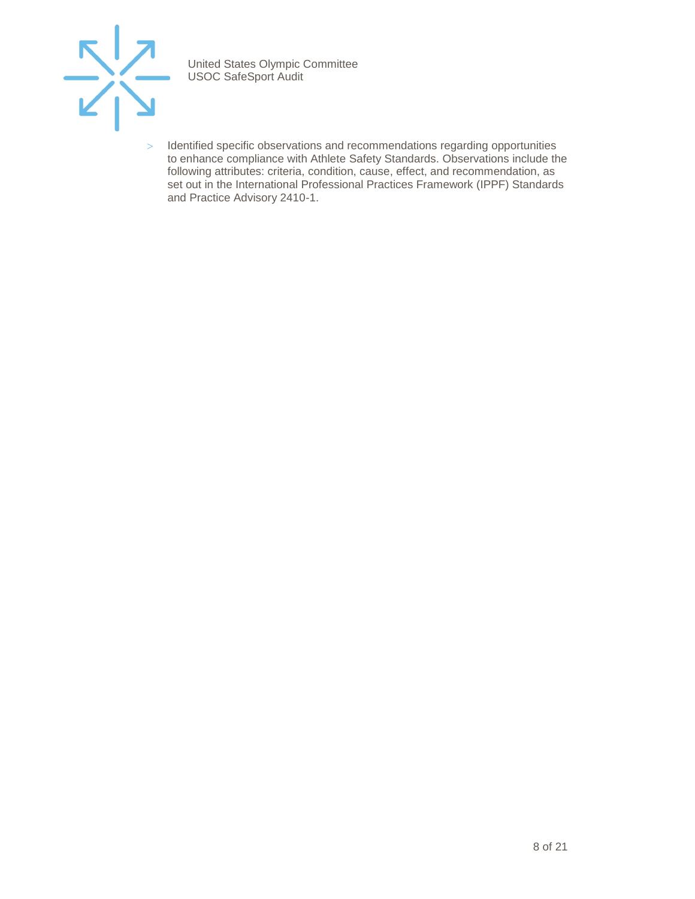

> Identified specific observations and recommendations regarding opportunities to enhance compliance with Athlete Safety Standards. Observations include the following attributes: criteria, condition, cause, effect, and recommendation, as set out in the International Professional Practices Framework (IPPF) Standards and Practice Advisory 2410-1.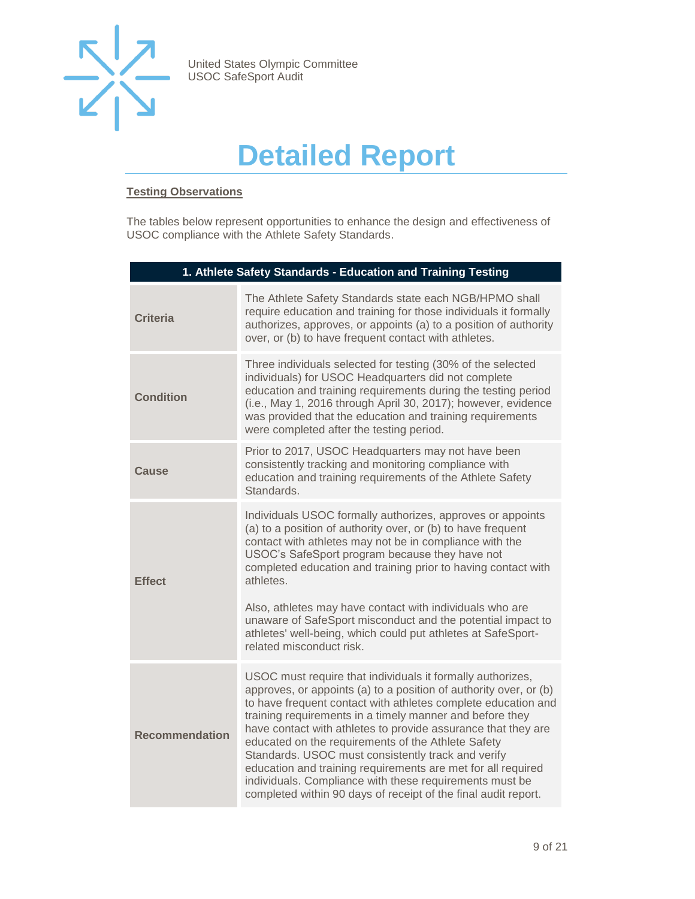

## **Detailed Report**

#### **Testing Observations**

The tables below represent opportunities to enhance the design and effectiveness of USOC compliance with the Athlete Safety Standards.

| 1. Athlete Safety Standards - Education and Training Testing |                                                                                                                                                                                                                                                                                                                                                                                                                                                                                                                                                                                                                                        |  |  |
|--------------------------------------------------------------|----------------------------------------------------------------------------------------------------------------------------------------------------------------------------------------------------------------------------------------------------------------------------------------------------------------------------------------------------------------------------------------------------------------------------------------------------------------------------------------------------------------------------------------------------------------------------------------------------------------------------------------|--|--|
| <b>Criteria</b>                                              | The Athlete Safety Standards state each NGB/HPMO shall<br>require education and training for those individuals it formally<br>authorizes, approves, or appoints (a) to a position of authority<br>over, or (b) to have frequent contact with athletes.                                                                                                                                                                                                                                                                                                                                                                                 |  |  |
| <b>Condition</b>                                             | Three individuals selected for testing (30% of the selected<br>individuals) for USOC Headquarters did not complete<br>education and training requirements during the testing period<br>(i.e., May 1, 2016 through April 30, 2017); however, evidence<br>was provided that the education and training requirements<br>were completed after the testing period.                                                                                                                                                                                                                                                                          |  |  |
| Cause                                                        | Prior to 2017, USOC Headquarters may not have been<br>consistently tracking and monitoring compliance with<br>education and training requirements of the Athlete Safety<br>Standards.                                                                                                                                                                                                                                                                                                                                                                                                                                                  |  |  |
| <b>Effect</b>                                                | Individuals USOC formally authorizes, approves or appoints<br>(a) to a position of authority over, or (b) to have frequent<br>contact with athletes may not be in compliance with the<br>USOC's SafeSport program because they have not<br>completed education and training prior to having contact with<br>athletes.                                                                                                                                                                                                                                                                                                                  |  |  |
|                                                              | Also, athletes may have contact with individuals who are<br>unaware of SafeSport misconduct and the potential impact to<br>athletes' well-being, which could put athletes at SafeSport-<br>related misconduct risk.                                                                                                                                                                                                                                                                                                                                                                                                                    |  |  |
| <b>Recommendation</b>                                        | USOC must require that individuals it formally authorizes,<br>approves, or appoints (a) to a position of authority over, or (b)<br>to have frequent contact with athletes complete education and<br>training requirements in a timely manner and before they<br>have contact with athletes to provide assurance that they are<br>educated on the requirements of the Athlete Safety<br>Standards. USOC must consistently track and verify<br>education and training requirements are met for all required<br>individuals. Compliance with these requirements must be<br>completed within 90 days of receipt of the final audit report. |  |  |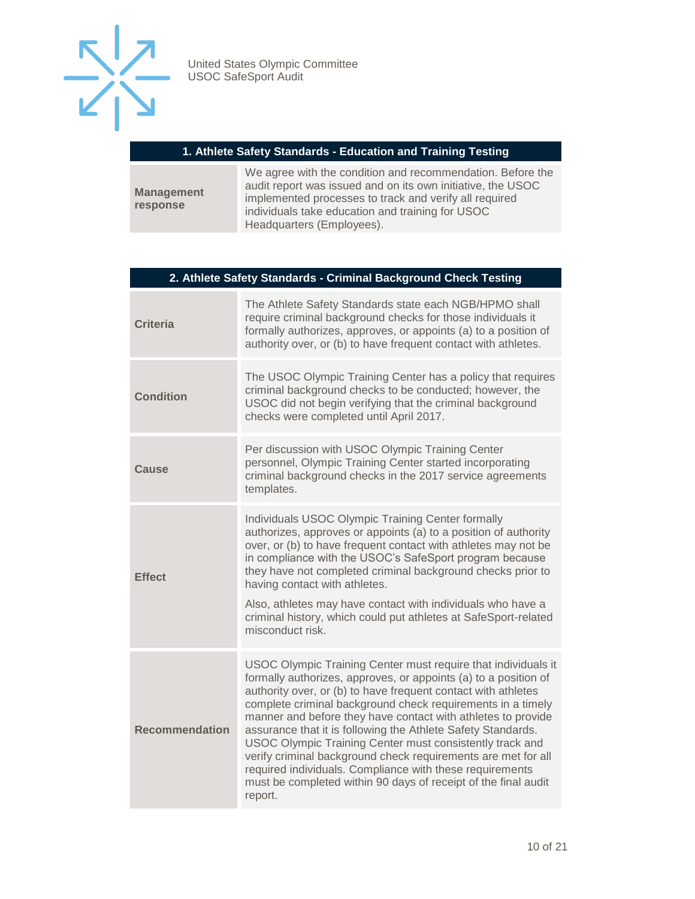

#### **1. Athlete Safety Standards - Education and Training Testing**

| We agree with the condition and recommendation. Before the<br>audit report was issued and on its own initiative, the USOC<br>implemented processes to track and verify all required<br>individuals take education and training for USOC |
|-----------------------------------------------------------------------------------------------------------------------------------------------------------------------------------------------------------------------------------------|
| Headquarters (Employees).                                                                                                                                                                                                               |
|                                                                                                                                                                                                                                         |

| 2. Athlete Safety Standards - Criminal Background Check Testing |                                                                                                                                                                                                                                                                                                                                                                                                                                                                                                                                                                                                                                                                        |  |  |  |
|-----------------------------------------------------------------|------------------------------------------------------------------------------------------------------------------------------------------------------------------------------------------------------------------------------------------------------------------------------------------------------------------------------------------------------------------------------------------------------------------------------------------------------------------------------------------------------------------------------------------------------------------------------------------------------------------------------------------------------------------------|--|--|--|
| <b>Criteria</b>                                                 | The Athlete Safety Standards state each NGB/HPMO shall<br>require criminal background checks for those individuals it<br>formally authorizes, approves, or appoints (a) to a position of<br>authority over, or (b) to have frequent contact with athletes.                                                                                                                                                                                                                                                                                                                                                                                                             |  |  |  |
| <b>Condition</b>                                                | The USOC Olympic Training Center has a policy that requires<br>criminal background checks to be conducted; however, the<br>USOC did not begin verifying that the criminal background<br>checks were completed until April 2017.                                                                                                                                                                                                                                                                                                                                                                                                                                        |  |  |  |
| Cause                                                           | Per discussion with USOC Olympic Training Center<br>personnel, Olympic Training Center started incorporating<br>criminal background checks in the 2017 service agreements<br>templates.                                                                                                                                                                                                                                                                                                                                                                                                                                                                                |  |  |  |
| <b>Effect</b>                                                   | Individuals USOC Olympic Training Center formally<br>authorizes, approves or appoints (a) to a position of authority<br>over, or (b) to have frequent contact with athletes may not be<br>in compliance with the USOC's SafeSport program because<br>they have not completed criminal background checks prior to<br>having contact with athletes.<br>Also, athletes may have contact with individuals who have a<br>criminal history, which could put athletes at SafeSport-related<br>misconduct risk.                                                                                                                                                                |  |  |  |
| <b>Recommendation</b>                                           | USOC Olympic Training Center must require that individuals it<br>formally authorizes, approves, or appoints (a) to a position of<br>authority over, or (b) to have frequent contact with athletes<br>complete criminal background check requirements in a timely<br>manner and before they have contact with athletes to provide<br>assurance that it is following the Athlete Safety Standards.<br>USOC Olympic Training Center must consistently track and<br>verify criminal background check requirements are met for all<br>required individuals. Compliance with these requirements<br>must be completed within 90 days of receipt of the final audit<br>report. |  |  |  |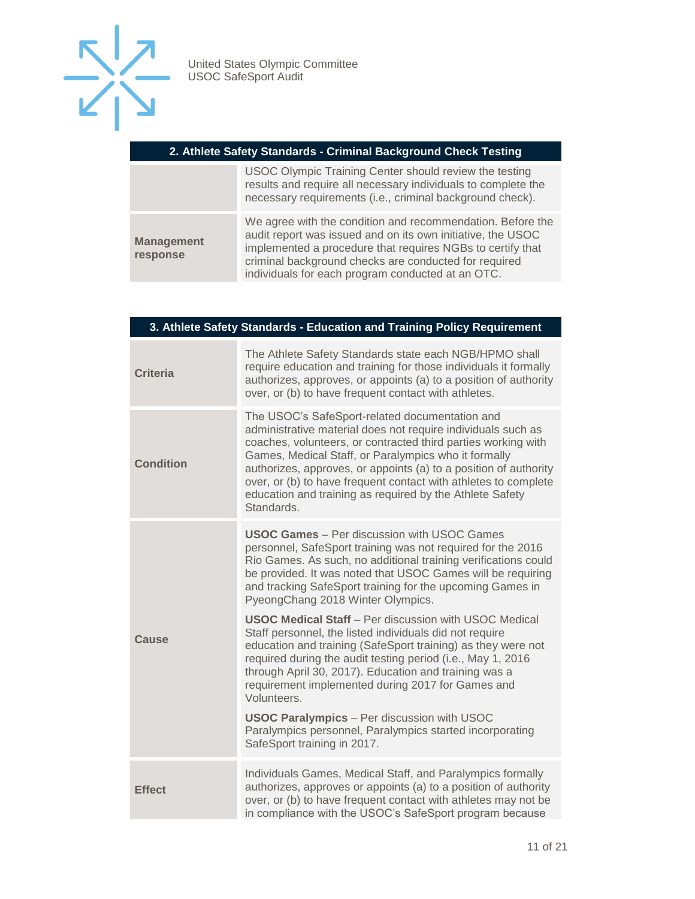

#### **2. Athlete Safety Standards - Criminal Background Check Testing**

|                               | USOC Olympic Training Center should review the testing<br>results and require all necessary individuals to complete the<br>necessary requirements (i.e., criminal background check).                                                                                                                  |
|-------------------------------|-------------------------------------------------------------------------------------------------------------------------------------------------------------------------------------------------------------------------------------------------------------------------------------------------------|
| <b>Management</b><br>response | We agree with the condition and recommendation. Before the<br>audit report was issued and on its own initiative, the USOC<br>implemented a procedure that requires NGBs to certify that<br>criminal background checks are conducted for required<br>individuals for each program conducted at an OTC. |

| 3. Athlete Safety Standards - Education and Training Policy Requirement |                                                                                                                                                                                                                                                                                                                                                                                                                                                          |  |  |
|-------------------------------------------------------------------------|----------------------------------------------------------------------------------------------------------------------------------------------------------------------------------------------------------------------------------------------------------------------------------------------------------------------------------------------------------------------------------------------------------------------------------------------------------|--|--|
| <b>Criteria</b>                                                         | The Athlete Safety Standards state each NGB/HPMO shall<br>require education and training for those individuals it formally<br>authorizes, approves, or appoints (a) to a position of authority<br>over, or (b) to have frequent contact with athletes.                                                                                                                                                                                                   |  |  |
| <b>Condition</b>                                                        | The USOC's SafeSport-related documentation and<br>administrative material does not require individuals such as<br>coaches, volunteers, or contracted third parties working with<br>Games, Medical Staff, or Paralympics who it formally<br>authorizes, approves, or appoints (a) to a position of authority<br>over, or (b) to have frequent contact with athletes to complete<br>education and training as required by the Athlete Safety<br>Standards. |  |  |
|                                                                         | <b>USOC Games</b> - Per discussion with USOC Games<br>personnel, SafeSport training was not required for the 2016<br>Rio Games. As such, no additional training verifications could<br>be provided. It was noted that USOC Games will be requiring<br>and tracking SafeSport training for the upcoming Games in<br>PyeongChang 2018 Winter Olympics.                                                                                                     |  |  |
| Cause                                                                   | <b>USOC Medical Staff</b> - Per discussion with USOC Medical<br>Staff personnel, the listed individuals did not require<br>education and training (SafeSport training) as they were not<br>required during the audit testing period (i.e., May 1, 2016<br>through April 30, 2017). Education and training was a<br>requirement implemented during 2017 for Games and<br>Volunteers.                                                                      |  |  |
|                                                                         | <b>USOC Paralympics</b> - Per discussion with USOC<br>Paralympics personnel, Paralympics started incorporating<br>SafeSport training in 2017.                                                                                                                                                                                                                                                                                                            |  |  |
| <b>Effect</b>                                                           | Individuals Games, Medical Staff, and Paralympics formally<br>authorizes, approves or appoints (a) to a position of authority<br>over, or (b) to have frequent contact with athletes may not be<br>in compliance with the USOC's SafeSport program because                                                                                                                                                                                               |  |  |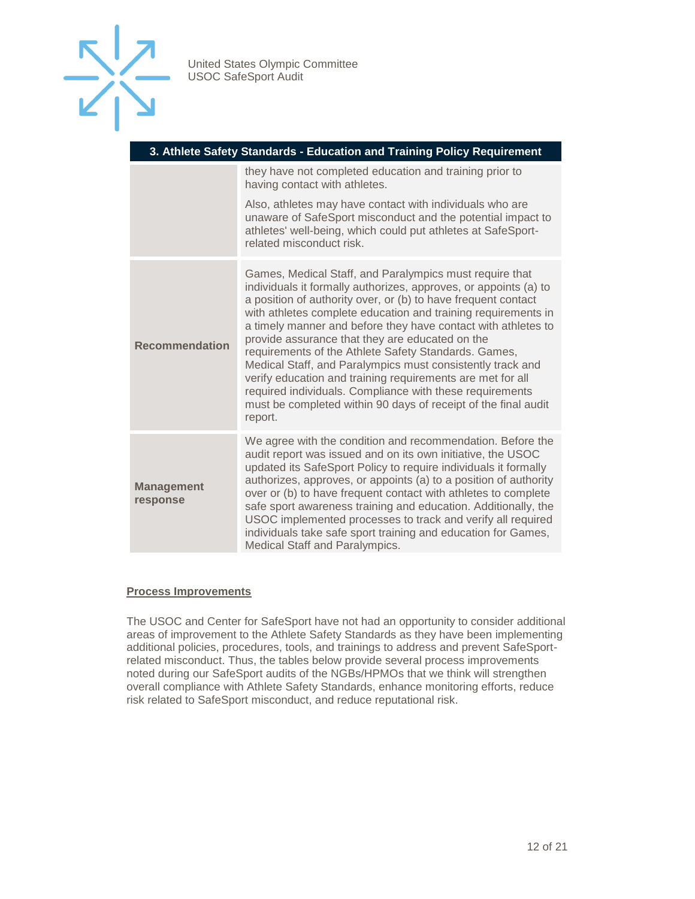

|                               | 3. Athlete Safety Standards - Education and Training Policy Requirement                                                                                                                                                                                                                                                                                                                                                                                                                                                                                                                                                                                                                                        |
|-------------------------------|----------------------------------------------------------------------------------------------------------------------------------------------------------------------------------------------------------------------------------------------------------------------------------------------------------------------------------------------------------------------------------------------------------------------------------------------------------------------------------------------------------------------------------------------------------------------------------------------------------------------------------------------------------------------------------------------------------------|
|                               | they have not completed education and training prior to<br>having contact with athletes.                                                                                                                                                                                                                                                                                                                                                                                                                                                                                                                                                                                                                       |
|                               | Also, athletes may have contact with individuals who are<br>unaware of SafeSport misconduct and the potential impact to<br>athletes' well-being, which could put athletes at SafeSport-<br>related misconduct risk.                                                                                                                                                                                                                                                                                                                                                                                                                                                                                            |
| <b>Recommendation</b>         | Games, Medical Staff, and Paralympics must require that<br>individuals it formally authorizes, approves, or appoints (a) to<br>a position of authority over, or (b) to have frequent contact<br>with athletes complete education and training requirements in<br>a timely manner and before they have contact with athletes to<br>provide assurance that they are educated on the<br>requirements of the Athlete Safety Standards. Games,<br>Medical Staff, and Paralympics must consistently track and<br>verify education and training requirements are met for all<br>required individuals. Compliance with these requirements<br>must be completed within 90 days of receipt of the final audit<br>report. |
| <b>Management</b><br>response | We agree with the condition and recommendation. Before the<br>audit report was issued and on its own initiative, the USOC<br>updated its SafeSport Policy to require individuals it formally<br>authorizes, approves, or appoints (a) to a position of authority<br>over or (b) to have frequent contact with athletes to complete<br>safe sport awareness training and education. Additionally, the<br>USOC implemented processes to track and verify all required<br>individuals take safe sport training and education for Games,<br>Medical Staff and Paralympics.                                                                                                                                         |

#### **Process Improvements**

The USOC and Center for SafeSport have not had an opportunity to consider additional areas of improvement to the Athlete Safety Standards as they have been implementing additional policies, procedures, tools, and trainings to address and prevent SafeSportrelated misconduct. Thus, the tables below provide several process improvements noted during our SafeSport audits of the NGBs/HPMOs that we think will strengthen overall compliance with Athlete Safety Standards, enhance monitoring efforts, reduce risk related to SafeSport misconduct, and reduce reputational risk.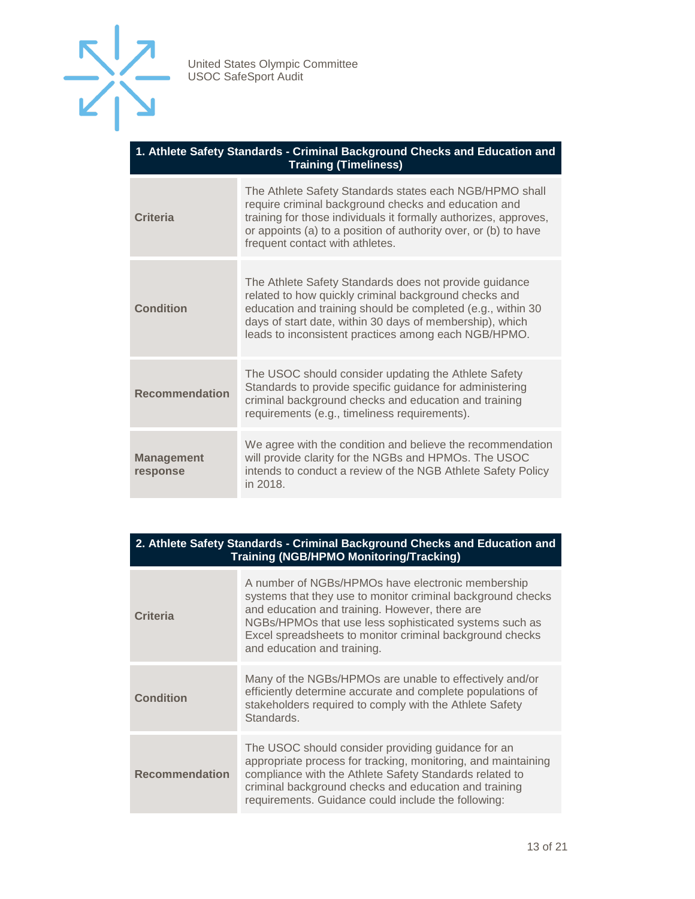

| 1. Athlete Safety Standards - Criminal Background Checks and Education and \ |
|------------------------------------------------------------------------------|
| <b>Training (Timeliness)</b>                                                 |

| Criteria                      | The Athlete Safety Standards states each NGB/HPMO shall<br>require criminal background checks and education and<br>training for those individuals it formally authorizes, approves,<br>or appoints (a) to a position of authority over, or (b) to have<br>frequent contact with athletes.          |
|-------------------------------|----------------------------------------------------------------------------------------------------------------------------------------------------------------------------------------------------------------------------------------------------------------------------------------------------|
| <b>Condition</b>              | The Athlete Safety Standards does not provide guidance<br>related to how quickly criminal background checks and<br>education and training should be completed (e.g., within 30<br>days of start date, within 30 days of membership), which<br>leads to inconsistent practices among each NGB/HPMO. |
| <b>Recommendation</b>         | The USOC should consider updating the Athlete Safety<br>Standards to provide specific guidance for administering<br>criminal background checks and education and training<br>requirements (e.g., timeliness requirements).                                                                         |
| <b>Management</b><br>response | We agree with the condition and believe the recommendation<br>will provide clarity for the NGBs and HPMOs. The USOC<br>intends to conduct a review of the NGB Athlete Safety Policy<br>in 2018.                                                                                                    |

#### **2. Athlete Safety Standards - Criminal Background Checks and Education and Training (NGB/HPMO Monitoring/Tracking)**

| Criteria              | A number of NGBs/HPMOs have electronic membership<br>systems that they use to monitor criminal background checks<br>and education and training. However, there are<br>NGBs/HPMOs that use less sophisticated systems such as<br>Excel spreadsheets to monitor criminal background checks<br>and education and training. |
|-----------------------|-------------------------------------------------------------------------------------------------------------------------------------------------------------------------------------------------------------------------------------------------------------------------------------------------------------------------|
| <b>Condition</b>      | Many of the NGBs/HPMOs are unable to effectively and/or<br>efficiently determine accurate and complete populations of<br>stakeholders required to comply with the Athlete Safety<br>Standards.                                                                                                                          |
| <b>Recommendation</b> | The USOC should consider providing guidance for an<br>appropriate process for tracking, monitoring, and maintaining<br>compliance with the Athlete Safety Standards related to<br>criminal background checks and education and training<br>requirements. Guidance could include the following:                          |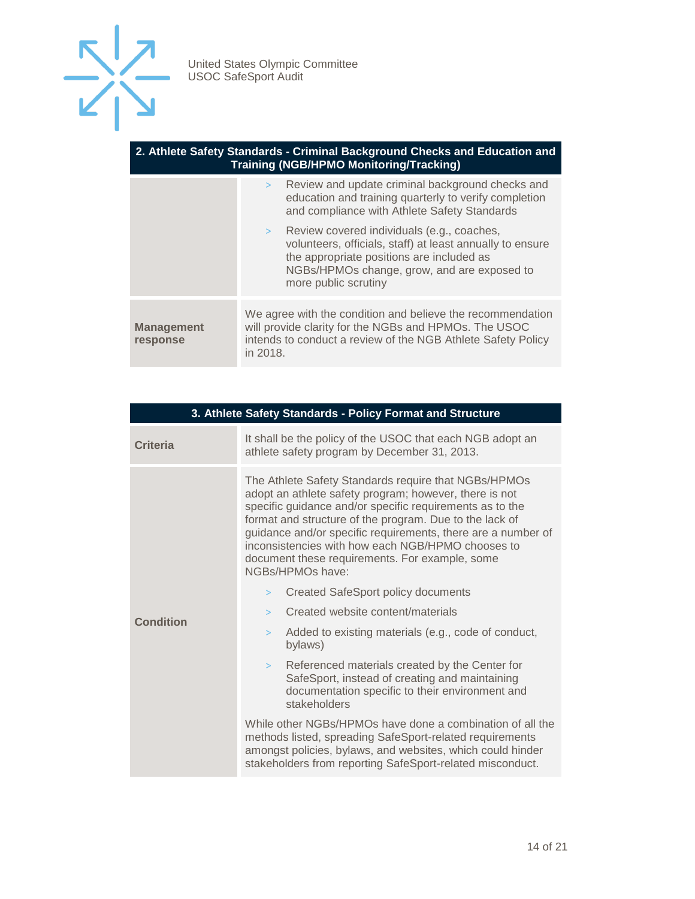

| 2. Athlete Safety Standards - Criminal Background Checks and Education and \ |                                         |  |  |
|------------------------------------------------------------------------------|-----------------------------------------|--|--|
|                                                                              | Training (NGB/HPMO Monitoring/Tracking) |  |  |

|                               | Review and update criminal background checks and<br>$\geq$<br>education and training quarterly to verify completion<br>and compliance with Athlete Safety Standards                                                                   |
|-------------------------------|---------------------------------------------------------------------------------------------------------------------------------------------------------------------------------------------------------------------------------------|
|                               | Review covered individuals (e.g., coaches,<br>$\geq$<br>volunteers, officials, staff) at least annually to ensure<br>the appropriate positions are included as<br>NGBs/HPMOs change, grow, and are exposed to<br>more public scrutiny |
| <b>Management</b><br>response | We agree with the condition and believe the recommendation<br>will provide clarity for the NGBs and HPMOs. The USOC<br>intends to conduct a review of the NGB Athlete Safety Policy<br>in 2018.                                       |

| 3. Athlete Safety Standards - Policy Format and Structure |                                                                                                                                                                                                                                                                                                                                                                                                                                  |
|-----------------------------------------------------------|----------------------------------------------------------------------------------------------------------------------------------------------------------------------------------------------------------------------------------------------------------------------------------------------------------------------------------------------------------------------------------------------------------------------------------|
| <b>Criteria</b>                                           | It shall be the policy of the USOC that each NGB adopt an<br>athlete safety program by December 31, 2013.                                                                                                                                                                                                                                                                                                                        |
|                                                           | The Athlete Safety Standards require that NGBs/HPMOs<br>adopt an athlete safety program; however, there is not<br>specific guidance and/or specific requirements as to the<br>format and structure of the program. Due to the lack of<br>guidance and/or specific requirements, there are a number of<br>inconsistencies with how each NGB/HPMO chooses to<br>document these requirements. For example, some<br>NGBs/HPMOs have: |
|                                                           | Created SafeSport policy documents<br>$\geq$                                                                                                                                                                                                                                                                                                                                                                                     |
| <b>Condition</b>                                          | Created website content/materials<br>$\geq$<br>Added to existing materials (e.g., code of conduct,<br>$\geq$<br>bylaws)                                                                                                                                                                                                                                                                                                          |
|                                                           | Referenced materials created by the Center for<br>$\geq$<br>SafeSport, instead of creating and maintaining<br>documentation specific to their environment and<br>stakeholders                                                                                                                                                                                                                                                    |
|                                                           | While other NGBs/HPMOs have done a combination of all the<br>methods listed, spreading SafeSport-related requirements<br>amongst policies, bylaws, and websites, which could hinder<br>stakeholders from reporting SafeSport-related misconduct.                                                                                                                                                                                 |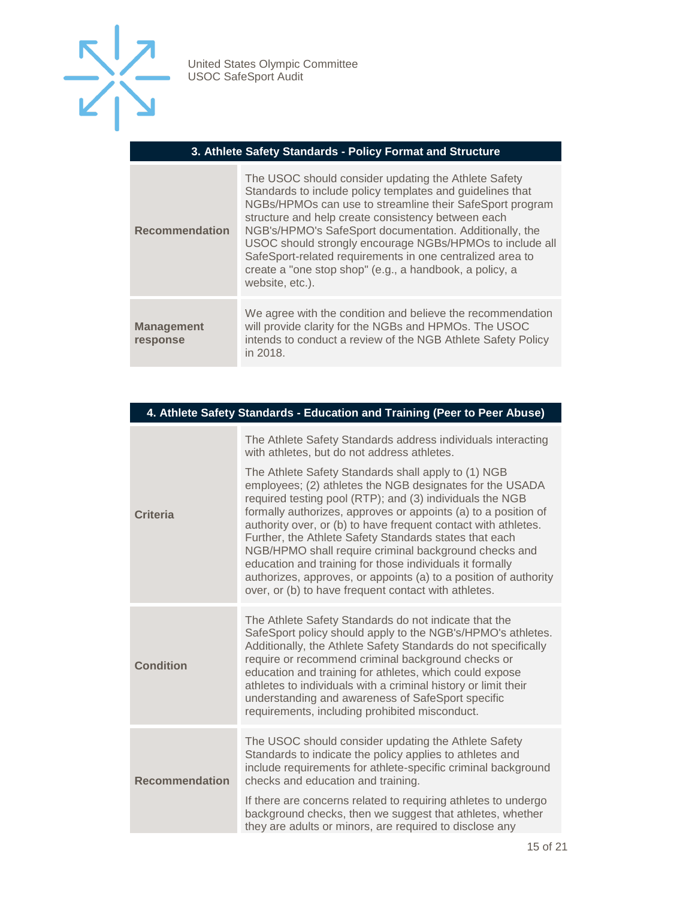

### **3. Athlete Safety Standards - Policy Format and Structure**

| <b>Recommendation</b>         | The USOC should consider updating the Athlete Safety<br>Standards to include policy templates and guidelines that<br>NGBs/HPMOs can use to streamline their SafeSport program<br>structure and help create consistency between each<br>NGB's/HPMO's SafeSport documentation. Additionally, the<br>USOC should strongly encourage NGBs/HPMOs to include all<br>SafeSport-related requirements in one centralized area to<br>create a "one stop shop" (e.g., a handbook, a policy, a<br>website, etc.). |
|-------------------------------|-------------------------------------------------------------------------------------------------------------------------------------------------------------------------------------------------------------------------------------------------------------------------------------------------------------------------------------------------------------------------------------------------------------------------------------------------------------------------------------------------------|
| <b>Management</b><br>response | We agree with the condition and believe the recommendation<br>will provide clarity for the NGBs and HPMOs. The USOC<br>intends to conduct a review of the NGB Athlete Safety Policy<br>in 2018.                                                                                                                                                                                                                                                                                                       |

| 4. Athlete Safety Standards - Education and Training (Peer to Peer Abuse) |                                                                                                                                                                                                                                                                                                                                                                                                                                                                                                                                                                                                                                                                                                                                           |
|---------------------------------------------------------------------------|-------------------------------------------------------------------------------------------------------------------------------------------------------------------------------------------------------------------------------------------------------------------------------------------------------------------------------------------------------------------------------------------------------------------------------------------------------------------------------------------------------------------------------------------------------------------------------------------------------------------------------------------------------------------------------------------------------------------------------------------|
| <b>Criteria</b>                                                           | The Athlete Safety Standards address individuals interacting<br>with athletes, but do not address athletes.<br>The Athlete Safety Standards shall apply to (1) NGB<br>employees; (2) athletes the NGB designates for the USADA<br>required testing pool (RTP); and (3) individuals the NGB<br>formally authorizes, approves or appoints (a) to a position of<br>authority over, or (b) to have frequent contact with athletes.<br>Further, the Athlete Safety Standards states that each<br>NGB/HPMO shall require criminal background checks and<br>education and training for those individuals it formally<br>authorizes, approves, or appoints (a) to a position of authority<br>over, or (b) to have frequent contact with athletes. |
| <b>Condition</b>                                                          | The Athlete Safety Standards do not indicate that the<br>SafeSport policy should apply to the NGB's/HPMO's athletes.<br>Additionally, the Athlete Safety Standards do not specifically<br>require or recommend criminal background checks or<br>education and training for athletes, which could expose<br>athletes to individuals with a criminal history or limit their<br>understanding and awareness of SafeSport specific<br>requirements, including prohibited misconduct.                                                                                                                                                                                                                                                          |
| <b>Recommendation</b>                                                     | The USOC should consider updating the Athlete Safety<br>Standards to indicate the policy applies to athletes and<br>include requirements for athlete-specific criminal background<br>checks and education and training.<br>If there are concerns related to requiring athletes to undergo<br>background checks, then we suggest that athletes, whether<br>they are adults or minors, are required to disclose any                                                                                                                                                                                                                                                                                                                         |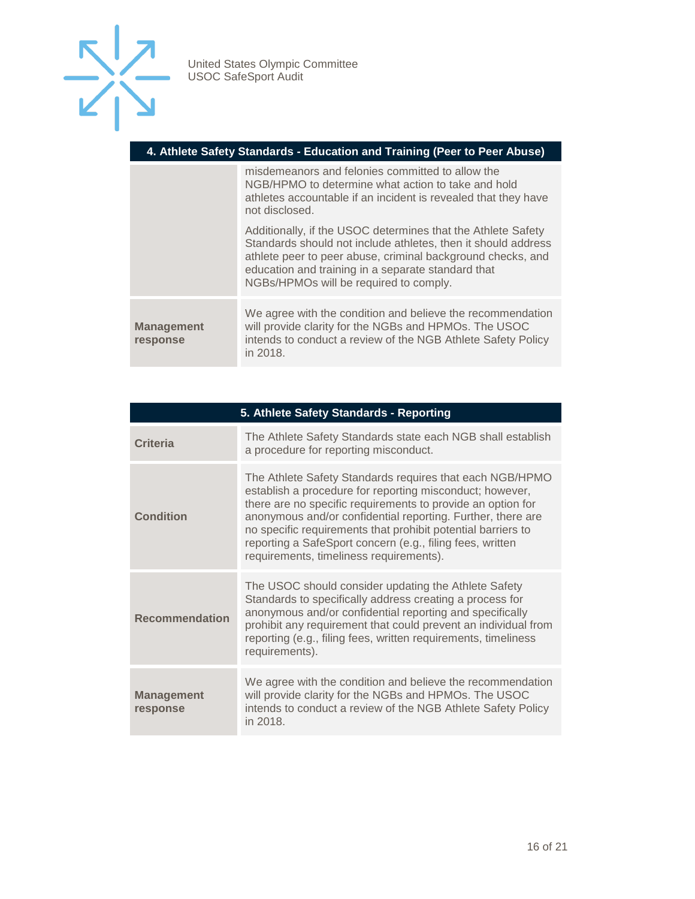

#### **4. Athlete Safety Standards - Education and Training (Peer to Peer Abuse)**

|                               | misdemeanors and felonies committed to allow the<br>NGB/HPMO to determine what action to take and hold<br>athletes accountable if an incident is revealed that they have<br>not disclosed.                                                                                                   |
|-------------------------------|----------------------------------------------------------------------------------------------------------------------------------------------------------------------------------------------------------------------------------------------------------------------------------------------|
|                               | Additionally, if the USOC determines that the Athlete Safety<br>Standards should not include athletes, then it should address<br>athlete peer to peer abuse, criminal background checks, and<br>education and training in a separate standard that<br>NGBs/HPMOs will be required to comply. |
| <b>Management</b><br>response | We agree with the condition and believe the recommendation<br>will provide clarity for the NGBs and HPMOs. The USOC<br>intends to conduct a review of the NGB Athlete Safety Policy<br>in 2018.                                                                                              |

| 5. Athlete Safety Standards - Reporting                                                                                                                                                |  |
|----------------------------------------------------------------------------------------------------------------------------------------------------------------------------------------|--|
| The Athlete Safety Standards state each NGB shall establish                                                                                                                            |  |
| The Athlete Safety Standards requires that each NGB/HPMO<br>there are no specific requirements to provide an option for<br>anonymous and/or confidential reporting. Further, there are |  |
| prohibit any requirement that could prevent an individual from<br>reporting (e.g., filing fees, written requirements, timeliness                                                       |  |
| We agree with the condition and believe the recommendation<br>intends to conduct a review of the NGB Athlete Safety Policy                                                             |  |
|                                                                                                                                                                                        |  |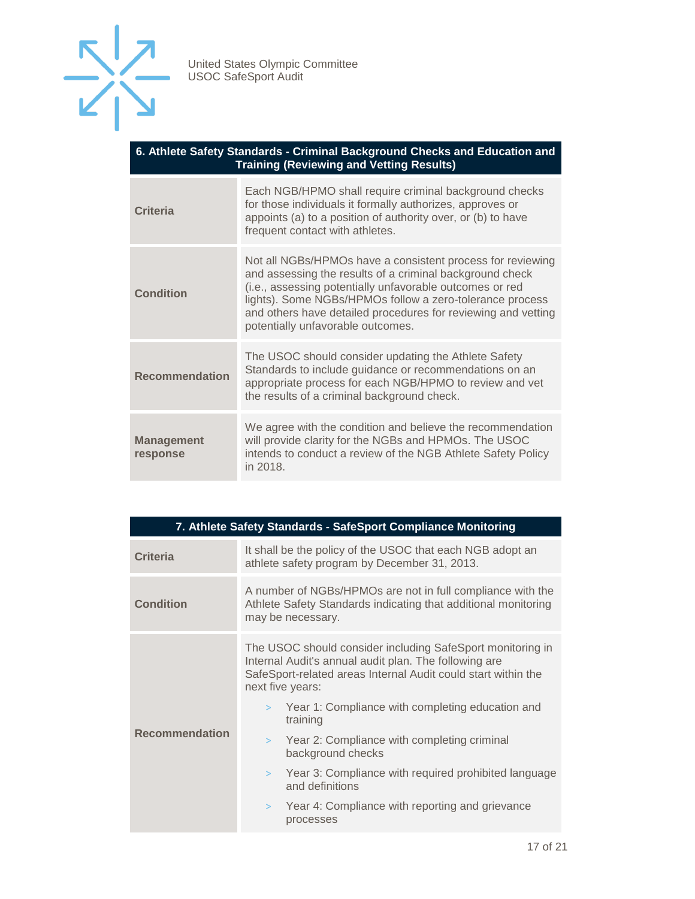

| 6. Athlete Safety Standards - Criminal Background Checks and Education and \ |
|------------------------------------------------------------------------------|
|                                                                              |

| <b>Criteria</b>               | Each NGB/HPMO shall require criminal background checks<br>for those individuals it formally authorizes, approves or<br>appoints (a) to a position of authority over, or (b) to have<br>frequent contact with athletes.                                                                                                                               |
|-------------------------------|------------------------------------------------------------------------------------------------------------------------------------------------------------------------------------------------------------------------------------------------------------------------------------------------------------------------------------------------------|
| <b>Condition</b>              | Not all NGBs/HPMOs have a consistent process for reviewing<br>and assessing the results of a criminal background check<br>(i.e., assessing potentially unfavorable outcomes or red<br>lights). Some NGBs/HPMOs follow a zero-tolerance process<br>and others have detailed procedures for reviewing and vetting<br>potentially unfavorable outcomes. |
| <b>Recommendation</b>         | The USOC should consider updating the Athlete Safety<br>Standards to include guidance or recommendations on an<br>appropriate process for each NGB/HPMO to review and vet<br>the results of a criminal background check.                                                                                                                             |
| <b>Management</b><br>response | We agree with the condition and believe the recommendation<br>will provide clarity for the NGBs and HPMOs. The USOC<br>intends to conduct a review of the NGB Athlete Safety Policy<br>in 2018.                                                                                                                                                      |

| 7. Athlete Safety Standards - SafeSport Compliance Monitoring |                                                                                                                                                                                                          |
|---------------------------------------------------------------|----------------------------------------------------------------------------------------------------------------------------------------------------------------------------------------------------------|
| <b>Criteria</b>                                               | It shall be the policy of the USOC that each NGB adopt an<br>athlete safety program by December 31, 2013.                                                                                                |
| <b>Condition</b>                                              | A number of NGBs/HPMOs are not in full compliance with the<br>Athlete Safety Standards indicating that additional monitoring<br>may be necessary.                                                        |
|                                                               | The USOC should consider including SafeSport monitoring in<br>Internal Audit's annual audit plan. The following are<br>SafeSport-related areas Internal Audit could start within the<br>next five years: |
|                                                               | Year 1: Compliance with completing education and<br>$\geq$<br>training                                                                                                                                   |
| <b>Recommendation</b>                                         | Year 2: Compliance with completing criminal<br>$\geq$<br>background checks                                                                                                                               |
|                                                               | Year 3: Compliance with required prohibited language<br>$\geq$<br>and definitions                                                                                                                        |
|                                                               | Year 4: Compliance with reporting and grievance<br>$\geq$<br>processes                                                                                                                                   |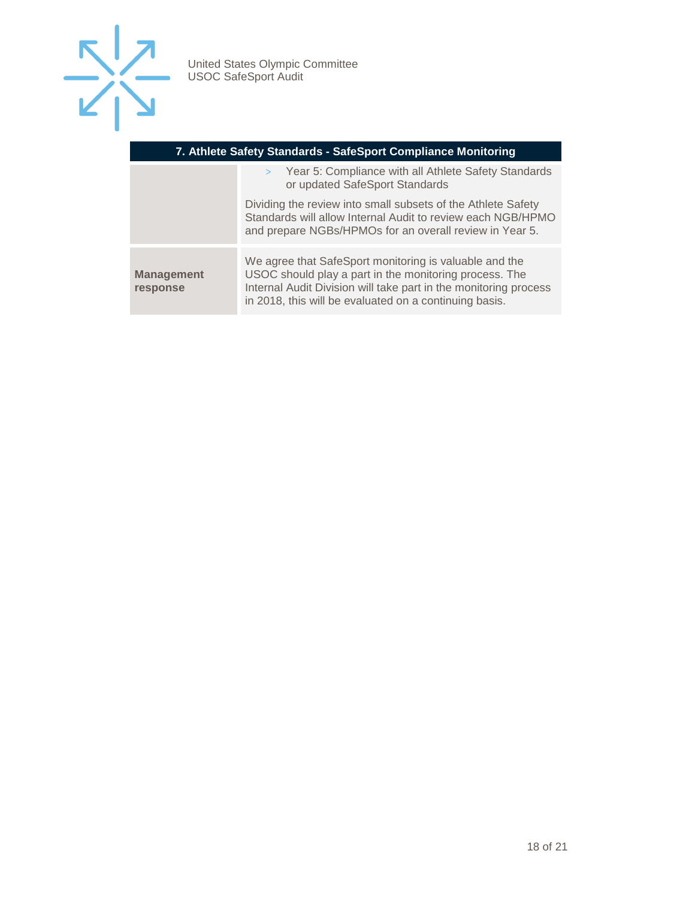

|                               | Year 5: Compliance with all Athlete Safety Standards<br>or updated SafeSport Standards                                                                                                                                                         |
|-------------------------------|------------------------------------------------------------------------------------------------------------------------------------------------------------------------------------------------------------------------------------------------|
|                               | Dividing the review into small subsets of the Athlete Safety<br>Standards will allow Internal Audit to review each NGB/HPMO<br>and prepare NGBs/HPMOs for an overall review in Year 5.                                                         |
| <b>Management</b><br>response | We agree that SafeSport monitoring is valuable and the<br>USOC should play a part in the monitoring process. The<br>Internal Audit Division will take part in the monitoring process<br>in 2018, this will be evaluated on a continuing basis. |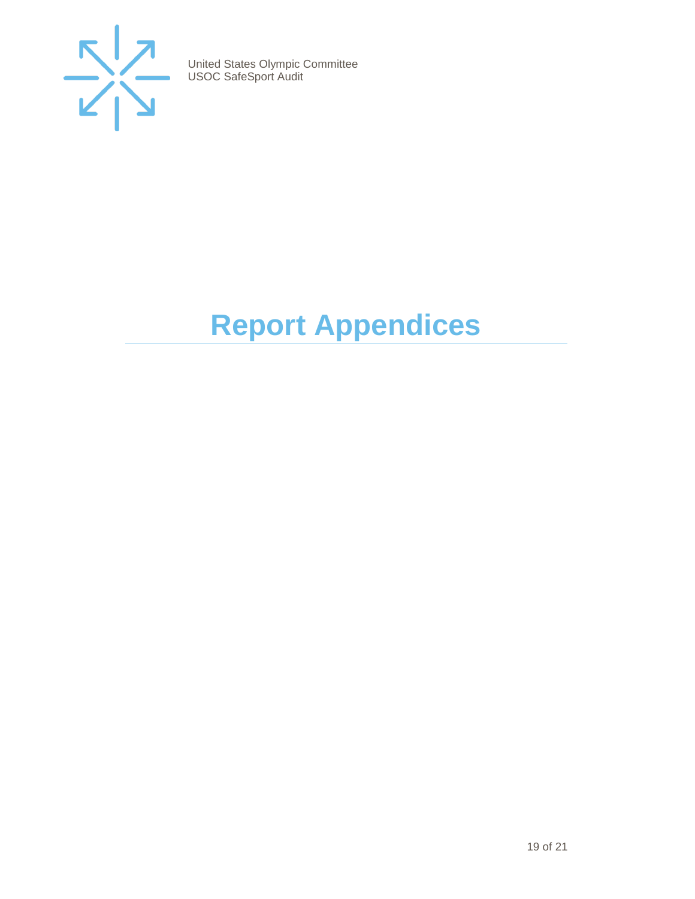

# <span id="page-18-0"></span>**Report Appendices**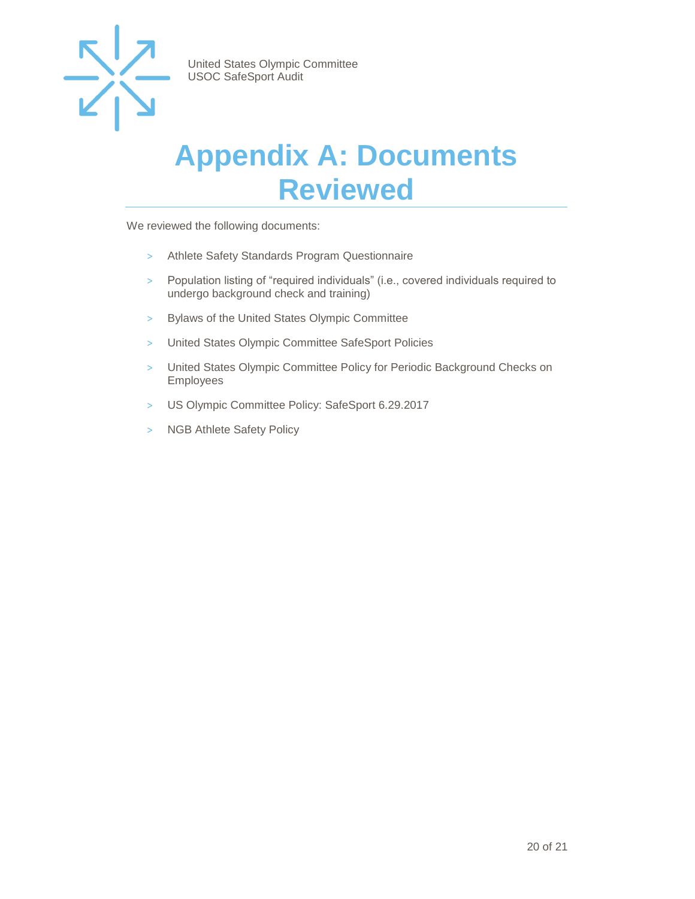

## <span id="page-19-0"></span>**Appendix A: Documents Reviewed**

We reviewed the following documents:

- > Athlete Safety Standards Program Questionnaire
- > Population listing of "required individuals" (i.e., covered individuals required to undergo background check and training)
- > Bylaws of the United States Olympic Committee
- > United States Olympic Committee SafeSport Policies
- > United States Olympic Committee Policy for Periodic Background Checks on Employees
- > US Olympic Committee Policy: SafeSport 6.29.2017
- > NGB Athlete Safety Policy